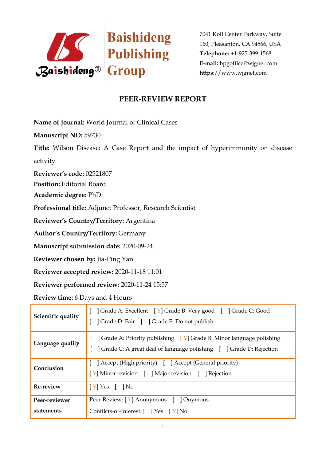

## **PEER-REVIEW REPORT**

**Name of journal:** World Journal of Clinical Cases

**Manuscript NO:** 59730

**Title:** Wilson Disease: A Case Report and the impact of hyperimmunity on disease activity

**Reviewer's code:** 02521807

**Position:** Editorial Board

**Academic degree:** PhD

**Professional title:** Adjunct Professor, Research Scientist

**Reviewer's Country/Territory:** Argentina

**Author's Country/Territory:** Germany

**Manuscript submission date:** 2020-09-24

**Reviewer chosen by:** Jia-Ping Yan

**Reviewer accepted review:** 2020-11-18 11:01

**Reviewer performed review:** 2020-11-24 15:57

**Review time:** 6 Days and 4 Hours

| Scientific quality          | Grade A: Excellent   Y   Grade B: Very good     Grade C: Good<br>  Grade D: Fair   Grade E: Do not publish                                                                                   |
|-----------------------------|----------------------------------------------------------------------------------------------------------------------------------------------------------------------------------------------|
| Language quality            | $\int$ Grade A: Priority publishing $\left[ \begin{array}{cc} Y \end{array} \right]$ Grade B: Minor language polishing<br>Crade C: A great deal of language polishing [ ] Grade D: Rejection |
| Conclusion                  | [ ] Accept (High priority) [ ] Accept (General priority)<br>[Y] Minor revision [ ] Major revision [ ] Rejection                                                                              |
| <b>Re-review</b>            | $[Y]$ Yes $[$ $]$ No                                                                                                                                                                         |
| Peer-reviewer<br>statements | Peer-Review: [Y] Anonymous [ ] Onymous<br>Conflicts-of-Interest: [ ] Yes [Y] No                                                                                                              |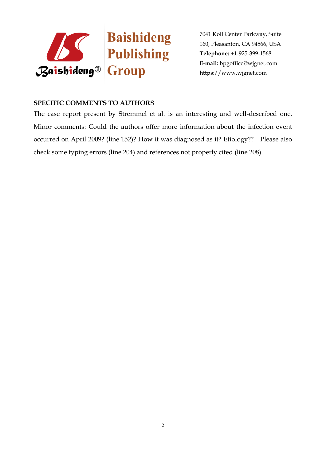

## **SPECIFIC COMMENTS TO AUTHORS**

The case report present by Stremmel et al. is an interesting and well-described one. Minor comments: Could the authors offer more information about the infection event occurred on April 2009? (line 152)? How it was diagnosed as it? Etiology?? Please also check some typing errors (line 204) and references not properly cited (line 208).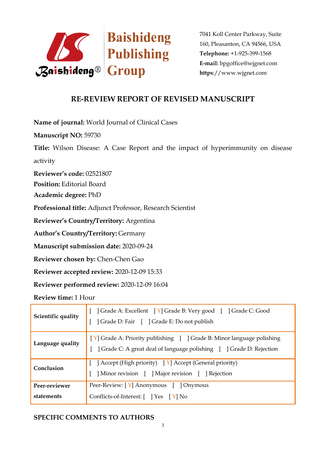

## **RE-REVIEW REPORT OF REVISED MANUSCRIPT**

**Name of journal:** World Journal of Clinical Cases

**Manuscript NO:** 59730

**Title:** Wilson Disease: A Case Report and the impact of hyperimmunity on disease activity

**Reviewer's code:** 02521807

**Position:** Editorial Board

**Academic degree:** PhD

**Professional title:** Adjunct Professor, Research Scientist

**Reviewer's Country/Territory:** Argentina

**Author's Country/Territory:** Germany

**Manuscript submission date:** 2020-09-24

**Reviewer chosen by:** Chen-Chen Gao

**Reviewer accepted review:** 2020-12-09 15:33

**Reviewer performed review:** 2020-12-09 16:04

**Review time:** 1 Hour

| Scientific quality          | Crade A: Excellent [Y] Grade B: Very good [ ] Grade C: Good<br>] Grade D: Fair [ ] Grade E: Do not publish                                     |
|-----------------------------|------------------------------------------------------------------------------------------------------------------------------------------------|
| Language quality            | [Y] Grade A: Priority publishing [ ] Grade B: Minor language polishing<br>] Grade C: A great deal of language polishing [ ] Grade D: Rejection |
| Conclusion                  | [ ] Accept (High priority) $[Y]$ Accept (General priority)<br>Minor revision [ ] Major revision [ ] Rejection                                  |
| Peer-reviewer<br>statements | Peer-Review: [Y] Anonymous [ ] Onymous<br>Conflicts-of-Interest: $[$ $]$ Yes $[$ Y $]$ No                                                      |

## **SPECIFIC COMMENTS TO AUTHORS**